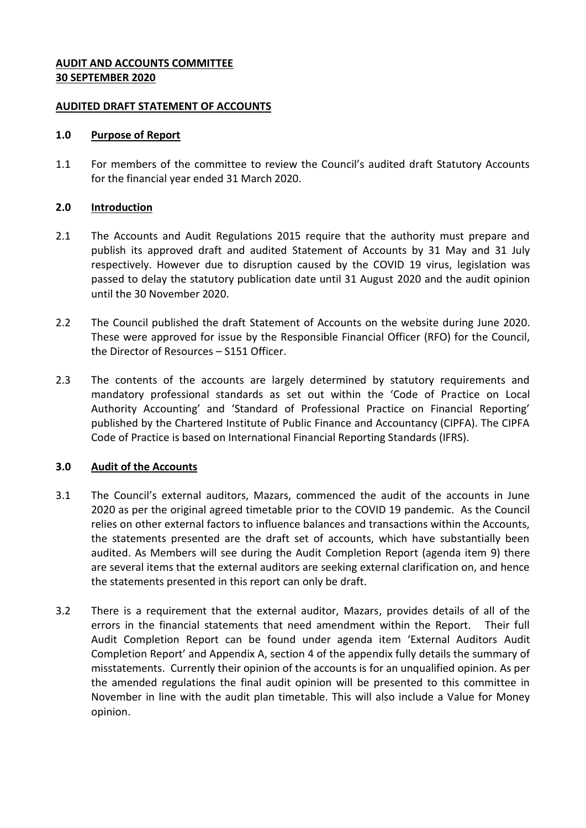#### **AUDIT AND ACCOUNTS COMMITTEE 30 SEPTEMBER 2020**

#### **AUDITED DRAFT STATEMENT OF ACCOUNTS**

#### **1.0 Purpose of Report**

1.1 For members of the committee to review the Council's audited draft Statutory Accounts for the financial year ended 31 March 2020.

#### **2.0 Introduction**

- 2.1 The Accounts and Audit Regulations 2015 require that the authority must prepare and publish its approved draft and audited Statement of Accounts by 31 May and 31 July respectively. However due to disruption caused by the COVID 19 virus, legislation was passed to delay the statutory publication date until 31 August 2020 and the audit opinion until the 30 November 2020.
- 2.2 The Council published the draft Statement of Accounts on the website during June 2020. These were approved for issue by the Responsible Financial Officer (RFO) for the Council, the Director of Resources – S151 Officer.
- 2.3 The contents of the accounts are largely determined by statutory requirements and mandatory professional standards as set out within the 'Code of Practice on Local Authority Accounting' and 'Standard of Professional Practice on Financial Reporting' published by the Chartered Institute of Public Finance and Accountancy (CIPFA). The CIPFA Code of Practice is based on International Financial Reporting Standards (IFRS).

### **3.0 Audit of the Accounts**

- 3.1 The Council's external auditors, Mazars, commenced the audit of the accounts in June 2020 as per the original agreed timetable prior to the COVID 19 pandemic. As the Council relies on other external factors to influence balances and transactions within the Accounts, the statements presented are the draft set of accounts, which have substantially been audited. As Members will see during the Audit Completion Report (agenda item 9) there are several items that the external auditors are seeking external clarification on, and hence the statements presented in this report can only be draft.
- 3.2 There is a requirement that the external auditor, Mazars, provides details of all of the errors in the financial statements that need amendment within the Report. Their full Audit Completion Report can be found under agenda item 'External Auditors Audit Completion Report' and Appendix A, section 4 of the appendix fully details the summary of misstatements. Currently their opinion of the accounts is for an unqualified opinion. As per the amended regulations the final audit opinion will be presented to this committee in November in line with the audit plan timetable. This will also include a Value for Money opinion.